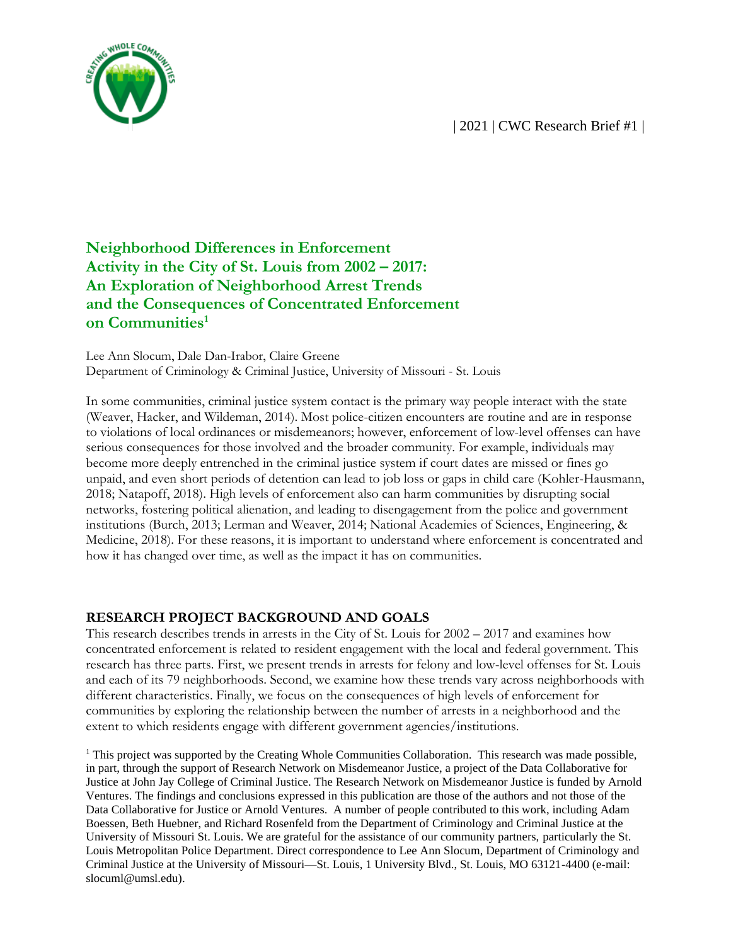

# **Neighborhood Differences in Enforcement Activity in the City of St. Louis from 2002 – 2017: An Exploration of Neighborhood Arrest Trends and the Consequences of Concentrated Enforcement on Communities<sup>1</sup>**

Lee Ann Slocum, Dale Dan-Irabor, Claire Greene Department of Criminology & Criminal Justice, University of Missouri - St. Louis

In some communities, criminal justice system contact is the primary way people interact with the state (Weaver, Hacker, and Wildeman, 2014). Most police-citizen encounters are routine and are in response to violations of local ordinances or misdemeanors; however, enforcement of low-level offenses can have serious consequences for those involved and the broader community. For example, individuals may become more deeply entrenched in the criminal justice system if court dates are missed or fines go unpaid, and even short periods of detention can lead to job loss or gaps in child care (Kohler-Hausmann, 2018; Natapoff, 2018). High levels of enforcement also can harm communities by disrupting social networks, fostering political alienation, and leading to disengagement from the police and government institutions (Burch, 2013; Lerman and Weaver, 2014; National Academies of Sciences, Engineering, & Medicine, 2018). For these reasons, it is important to understand where enforcement is concentrated and how it has changed over time, as well as the impact it has on communities.

#### **RESEARCH PROJECT BACKGROUND AND GOALS**

This research describes trends in arrests in the City of St. Louis for 2002 – 2017 and examines how concentrated enforcement is related to resident engagement with the local and federal government. This research has three parts. First, we present trends in arrests for felony and low-level offenses for St. Louis and each of its 79 neighborhoods. Second, we examine how these trends vary across neighborhoods with different characteristics. Finally, we focus on the consequences of high levels of enforcement for communities by exploring the relationship between the number of arrests in a neighborhood and the extent to which residents engage with different government agencies/institutions.

<sup>1</sup> This project was supported by the Creating Whole Communities Collaboration. This research was made possible, in part, through the support of Research Network on Misdemeanor Justice, a project of the Data Collaborative for Justice at John Jay College of Criminal Justice. The Research Network on Misdemeanor Justice is funded by Arnold Ventures. The findings and conclusions expressed in this publication are those of the authors and not those of the Data Collaborative for Justice or Arnold Ventures. A number of people contributed to this work, including Adam Boessen, Beth Huebner, and Richard Rosenfeld from the Department of Criminology and Criminal Justice at the University of Missouri St. Louis. We are grateful for the assistance of our community partners, particularly the St. Louis Metropolitan Police Department. Direct correspondence to Lee Ann Slocum, Department of Criminology and Criminal Justice at the University of Missouri—St. Louis, 1 University Blvd., St. Louis, MO 63121-4400 (e-mail: slocuml@umsl.edu).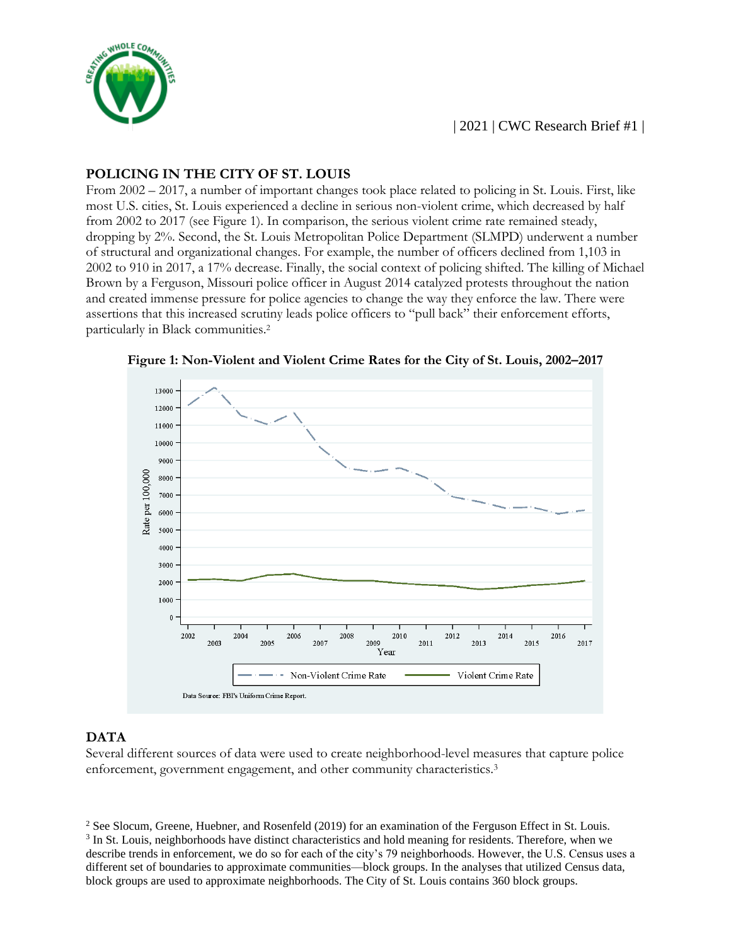

## **POLICING IN THE CITY OF ST. LOUIS**

From 2002 – 2017, a number of important changes took place related to policing in St. Louis. First, like most U.S. cities, St. Louis experienced a decline in serious non-violent crime, which decreased by half from 2002 to 2017 (see Figure 1). In comparison, the serious violent crime rate remained steady, dropping by 2%. Second, the St. Louis Metropolitan Police Department (SLMPD) underwent a number of structural and organizational changes. For example, the number of officers declined from 1,103 in 2002 to 910 in 2017, a 17% decrease. Finally, the social context of policing shifted. The killing of Michael Brown by a Ferguson, Missouri police officer in August 2014 catalyzed protests throughout the nation and created immense pressure for police agencies to change the way they enforce the law. There were assertions that this increased scrutiny leads police officers to "pull back" their enforcement efforts, particularly in Black communities.<sup>2</sup>



**Figure 1: Non-Violent and Violent Crime Rates for the City of St. Louis, 2002–2017**

## **DATA**

Several different sources of data were used to create neighborhood-level measures that capture police enforcement, government engagement, and other community characteristics.3

<sup>&</sup>lt;sup>2</sup> See Slocum, Greene, Huebner, and Rosenfeld (2019) for an examination of the Ferguson Effect in St. Louis. <sup>3</sup> In St. Louis, neighborhoods have distinct characteristics and hold meaning for residents. Therefore, when we describe trends in enforcement, we do so for each of the city's 79 neighborhoods. However, the U.S. Census uses a different set of boundaries to approximate communities—block groups. In the analyses that utilized Census data, block groups are used to approximate neighborhoods. The City of St. Louis contains 360 block groups.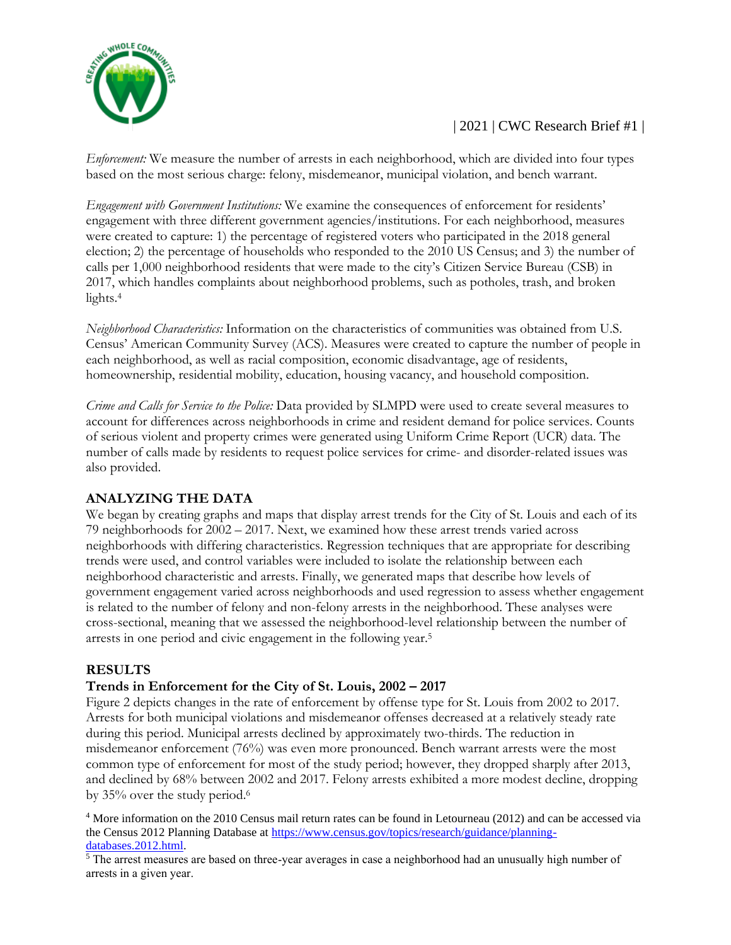

*Enforcement:* We measure the number of arrests in each neighborhood, which are divided into four types based on the most serious charge: felony, misdemeanor, municipal violation, and bench warrant.

*Engagement with Government Institutions:* We examine the consequences of enforcement for residents' engagement with three different government agencies/institutions. For each neighborhood, measures were created to capture: 1) the percentage of registered voters who participated in the 2018 general election; 2) the percentage of households who responded to the 2010 US Census; and 3) the number of calls per 1,000 neighborhood residents that were made to the city's Citizen Service Bureau (CSB) in 2017, which handles complaints about neighborhood problems, such as potholes, trash, and broken lights.<sup>4</sup>

*Neighborhood Characteristics:* Information on the characteristics of communities was obtained from U.S. Census' American Community Survey (ACS). Measures were created to capture the number of people in each neighborhood, as well as racial composition, economic disadvantage, age of residents, homeownership, residential mobility, education, housing vacancy, and household composition.

*Crime and Calls for Service to the Police:* Data provided by SLMPD were used to create several measures to account for differences across neighborhoods in crime and resident demand for police services. Counts of serious violent and property crimes were generated using Uniform Crime Report (UCR) data. The number of calls made by residents to request police services for crime- and disorder-related issues was also provided.

# **ANALYZING THE DATA**

We began by creating graphs and maps that display arrest trends for the City of St. Louis and each of its 79 neighborhoods for 2002 – 2017. Next, we examined how these arrest trends varied across neighborhoods with differing characteristics. Regression techniques that are appropriate for describing trends were used, and control variables were included to isolate the relationship between each neighborhood characteristic and arrests. Finally, we generated maps that describe how levels of government engagement varied across neighborhoods and used regression to assess whether engagement is related to the number of felony and non-felony arrests in the neighborhood. These analyses were cross-sectional, meaning that we assessed the neighborhood-level relationship between the number of arrests in one period and civic engagement in the following year.<sup>5</sup>

# **RESULTS**

## **Trends in Enforcement for the City of St. Louis, 2002 – 2017**

Figure 2 depicts changes in the rate of enforcement by offense type for St. Louis from 2002 to 2017. Arrests for both municipal violations and misdemeanor offenses decreased at a relatively steady rate during this period. Municipal arrests declined by approximately two-thirds. The reduction in misdemeanor enforcement (76%) was even more pronounced. Bench warrant arrests were the most common type of enforcement for most of the study period; however, they dropped sharply after 2013, and declined by 68% between 2002 and 2017. Felony arrests exhibited a more modest decline, dropping by 35% over the study period.6

<sup>4</sup> More information on the 2010 Census mail return rates can be found in Letourneau (2012) and can be accessed via the Census 2012 Planning Database at [https://www.census.gov/topics/research/guidance/planning](https://www.census.gov/topics/research/guidance/planning-databases.2012.html)[databases.2012.html.](https://www.census.gov/topics/research/guidance/planning-databases.2012.html)

<sup>5</sup> The arrest measures are based on three-year averages in case a neighborhood had an unusually high number of arrests in a given year.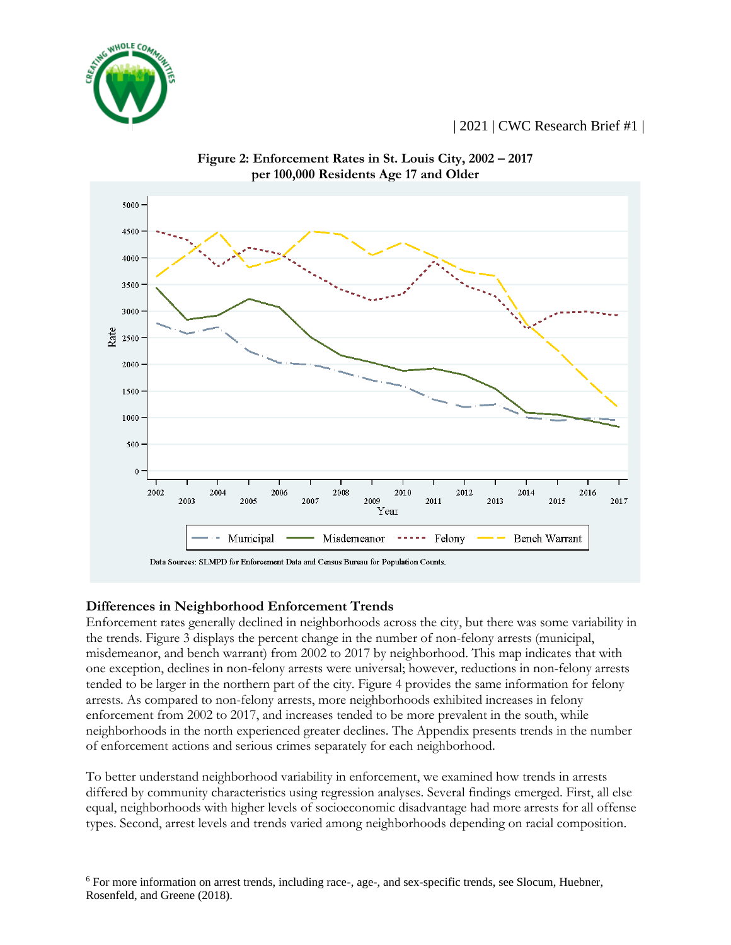





#### **Differences in Neighborhood Enforcement Trends**

Enforcement rates generally declined in neighborhoods across the city, but there was some variability in the trends. Figure 3 displays the percent change in the number of non-felony arrests (municipal, misdemeanor, and bench warrant) from 2002 to 2017 by neighborhood. This map indicates that with one exception, declines in non-felony arrests were universal; however, reductions in non-felony arrests tended to be larger in the northern part of the city. Figure 4 provides the same information for felony arrests. As compared to non-felony arrests, more neighborhoods exhibited increases in felony enforcement from 2002 to 2017, and increases tended to be more prevalent in the south, while neighborhoods in the north experienced greater declines. The Appendix presents trends in the number of enforcement actions and serious crimes separately for each neighborhood.

To better understand neighborhood variability in enforcement, we examined how trends in arrests differed by community characteristics using regression analyses. Several findings emerged. First, all else equal, neighborhoods with higher levels of socioeconomic disadvantage had more arrests for all offense types. Second, arrest levels and trends varied among neighborhoods depending on racial composition.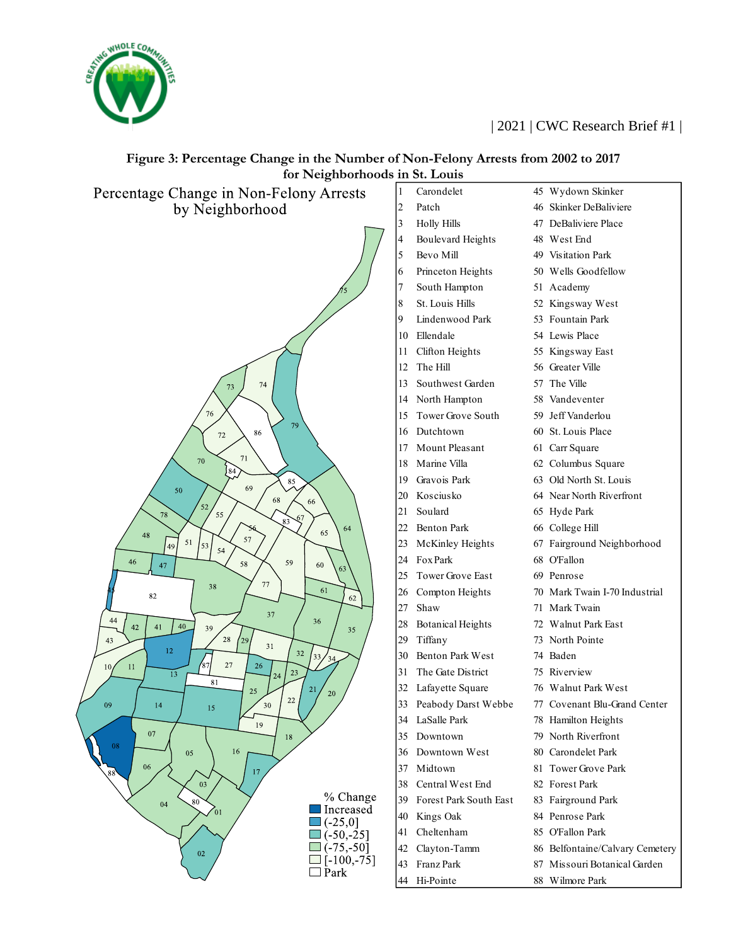



### **Figure 3: Percentage Change in the Number of Non-Felony Arrests from 2002 to 2017 for Neighborhoods in St. Louis**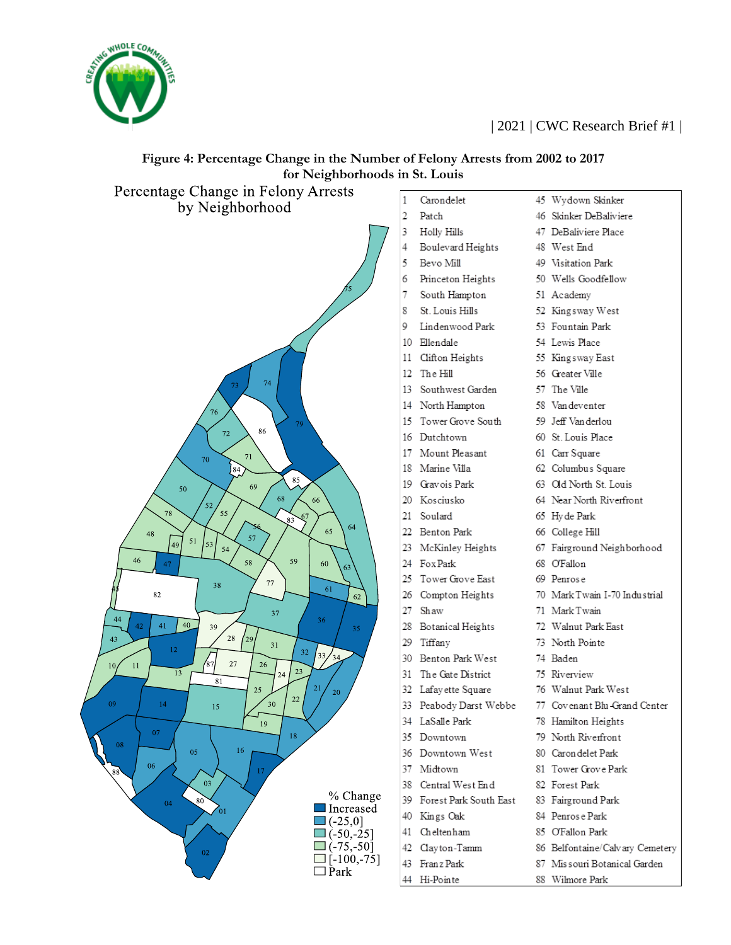



# **Figure 4: Percentage Change in the Number of Felony Arrests from 2002 to 2017 for Neighborhoods in St. Louis**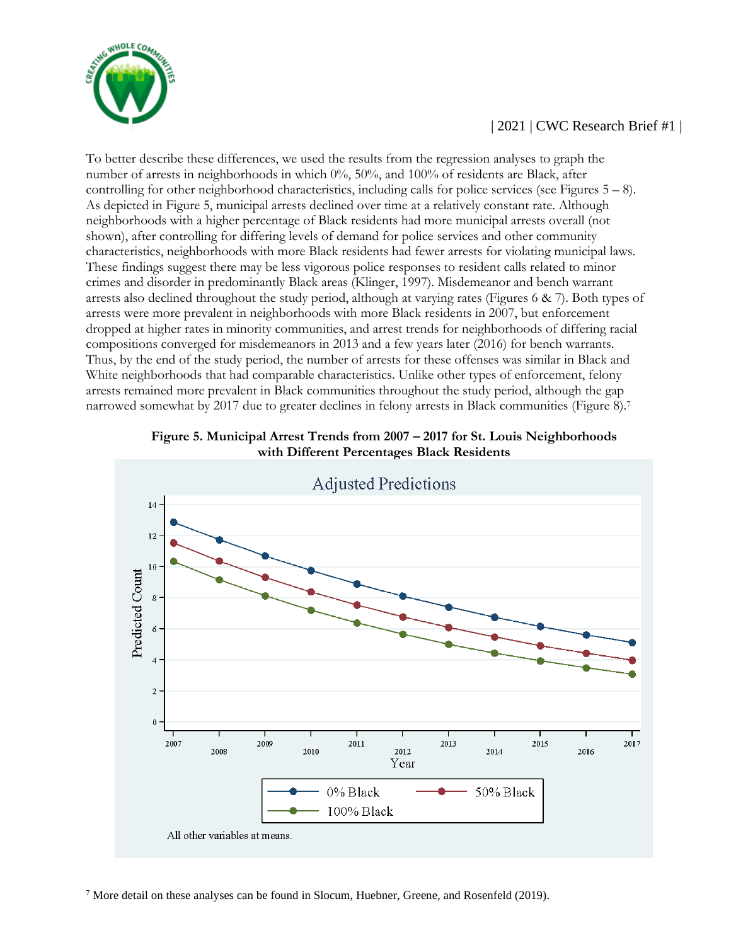

To better describe these differences, we used the results from the regression analyses to graph the number of arrests in neighborhoods in which 0%, 50%, and 100% of residents are Black, after controlling for other neighborhood characteristics, including calls for police services (see Figures  $5 - 8$ ). As depicted in Figure 5, municipal arrests declined over time at a relatively constant rate. Although neighborhoods with a higher percentage of Black residents had more municipal arrests overall (not shown), after controlling for differing levels of demand for police services and other community characteristics, neighborhoods with more Black residents had fewer arrests for violating municipal laws. These findings suggest there may be less vigorous police responses to resident calls related to minor crimes and disorder in predominantly Black areas (Klinger, 1997). Misdemeanor and bench warrant arrests also declined throughout the study period, although at varying rates (Figures 6 & 7). Both types of arrests were more prevalent in neighborhoods with more Black residents in 2007, but enforcement dropped at higher rates in minority communities, and arrest trends for neighborhoods of differing racial compositions converged for misdemeanors in 2013 and a few years later (2016) for bench warrants. Thus, by the end of the study period, the number of arrests for these offenses was similar in Black and White neighborhoods that had comparable characteristics. Unlike other types of enforcement, felony arrests remained more prevalent in Black communities throughout the study period, although the gap narrowed somewhat by 2017 due to greater declines in felony arrests in Black communities (Figure 8).<sup>7</sup>



**Figure 5. Municipal Arrest Trends from 2007 – 2017 for St. Louis Neighborhoods with Different Percentages Black Residents**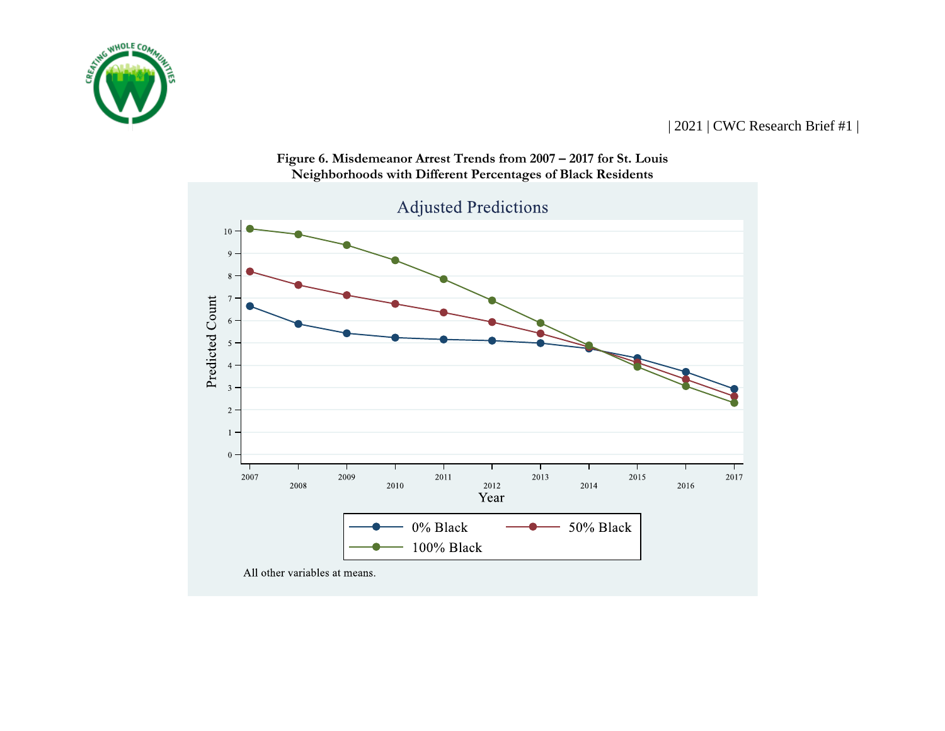



**Figure 6. Misdemeanor Arrest Trends from 2007 – 2017 for St. Louis Neighborhoods with Different Percentages of Black Residents**

All other variables at means.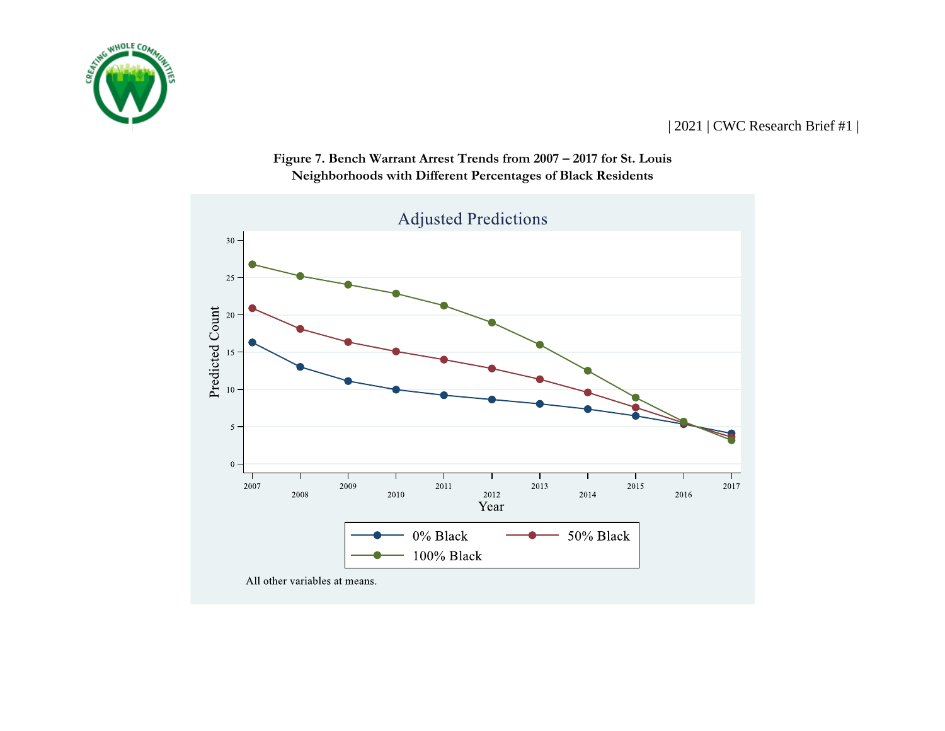



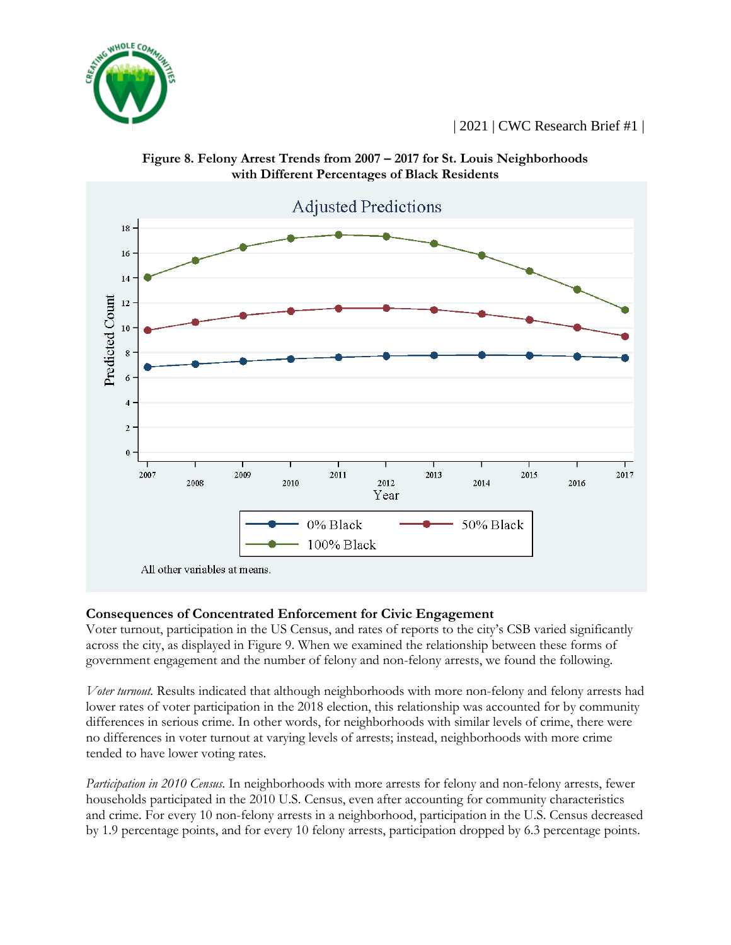





## **Consequences of Concentrated Enforcement for Civic Engagement**

Voter turnout, participation in the US Census, and rates of reports to the city's CSB varied significantly across the city, as displayed in Figure 9. When we examined the relationship between these forms of government engagement and the number of felony and non-felony arrests, we found the following.

*Voter turnout.* Results indicated that although neighborhoods with more non-felony and felony arrests had lower rates of voter participation in the 2018 election, this relationship was accounted for by community differences in serious crime. In other words, for neighborhoods with similar levels of crime, there were no differences in voter turnout at varying levels of arrests; instead, neighborhoods with more crime tended to have lower voting rates.

*Participation in 2010 Census.* In neighborhoods with more arrests for felony and non-felony arrests, fewer households participated in the 2010 U.S. Census, even after accounting for community characteristics and crime. For every 10 non-felony arrests in a neighborhood, participation in the U.S. Census decreased by 1.9 percentage points, and for every 10 felony arrests, participation dropped by 6.3 percentage points.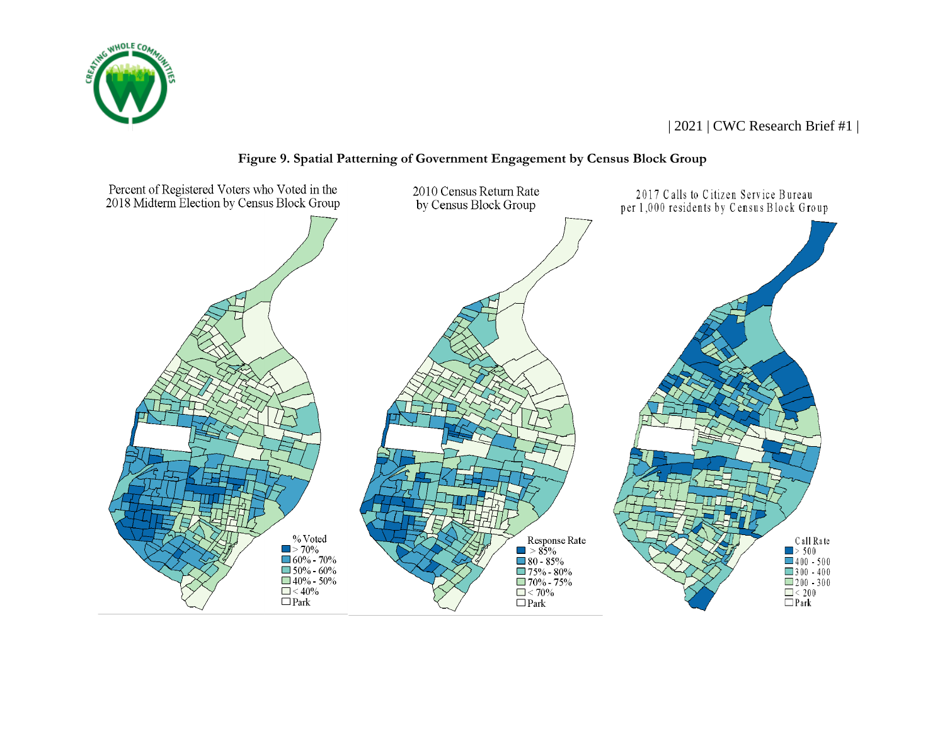



#### **Figure 9. Spatial Patterning of Government Engagement by Census Block Group**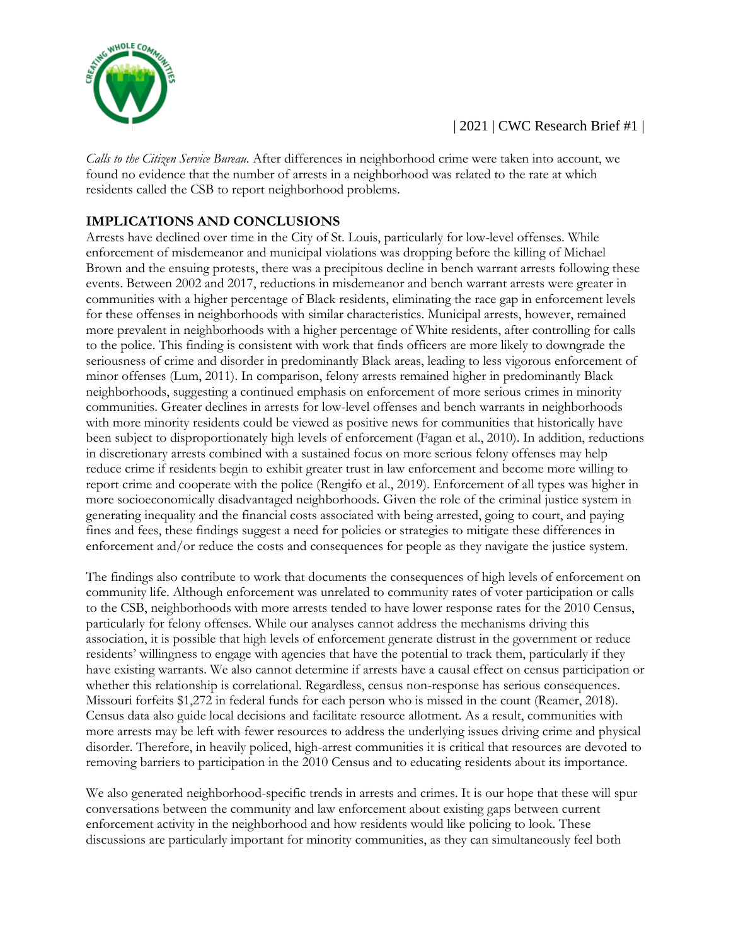

*Calls to the Citizen Service Bureau*. After differences in neighborhood crime were taken into account, we found no evidence that the number of arrests in a neighborhood was related to the rate at which residents called the CSB to report neighborhood problems.

# **IMPLICATIONS AND CONCLUSIONS**

Arrests have declined over time in the City of St. Louis, particularly for low-level offenses. While enforcement of misdemeanor and municipal violations was dropping before the killing of Michael Brown and the ensuing protests, there was a precipitous decline in bench warrant arrests following these events. Between 2002 and 2017, reductions in misdemeanor and bench warrant arrests were greater in communities with a higher percentage of Black residents, eliminating the race gap in enforcement levels for these offenses in neighborhoods with similar characteristics. Municipal arrests, however, remained more prevalent in neighborhoods with a higher percentage of White residents, after controlling for calls to the police. This finding is consistent with work that finds officers are more likely to downgrade the seriousness of crime and disorder in predominantly Black areas, leading to less vigorous enforcement of minor offenses (Lum, 2011). In comparison, felony arrests remained higher in predominantly Black neighborhoods, suggesting a continued emphasis on enforcement of more serious crimes in minority communities. Greater declines in arrests for low-level offenses and bench warrants in neighborhoods with more minority residents could be viewed as positive news for communities that historically have been subject to disproportionately high levels of enforcement (Fagan et al., 2010). In addition, reductions in discretionary arrests combined with a sustained focus on more serious felony offenses may help reduce crime if residents begin to exhibit greater trust in law enforcement and become more willing to report crime and cooperate with the police (Rengifo et al., 2019). Enforcement of all types was higher in more socioeconomically disadvantaged neighborhoods. Given the role of the criminal justice system in generating inequality and the financial costs associated with being arrested, going to court, and paying fines and fees, these findings suggest a need for policies or strategies to mitigate these differences in enforcement and/or reduce the costs and consequences for people as they navigate the justice system.

The findings also contribute to work that documents the consequences of high levels of enforcement on community life. Although enforcement was unrelated to community rates of voter participation or calls to the CSB, neighborhoods with more arrests tended to have lower response rates for the 2010 Census, particularly for felony offenses. While our analyses cannot address the mechanisms driving this association, it is possible that high levels of enforcement generate distrust in the government or reduce residents' willingness to engage with agencies that have the potential to track them, particularly if they have existing warrants. We also cannot determine if arrests have a causal effect on census participation or whether this relationship is correlational. Regardless, census non-response has serious consequences. Missouri forfeits \$1,272 in federal funds for each person who is missed in the count (Reamer, 2018). Census data also guide local decisions and facilitate resource allotment. As a result, communities with more arrests may be left with fewer resources to address the underlying issues driving crime and physical disorder. Therefore, in heavily policed, high-arrest communities it is critical that resources are devoted to removing barriers to participation in the 2010 Census and to educating residents about its importance.

We also generated neighborhood-specific trends in arrests and crimes. It is our hope that these will spur conversations between the community and law enforcement about existing gaps between current enforcement activity in the neighborhood and how residents would like policing to look. These discussions are particularly important for minority communities, as they can simultaneously feel both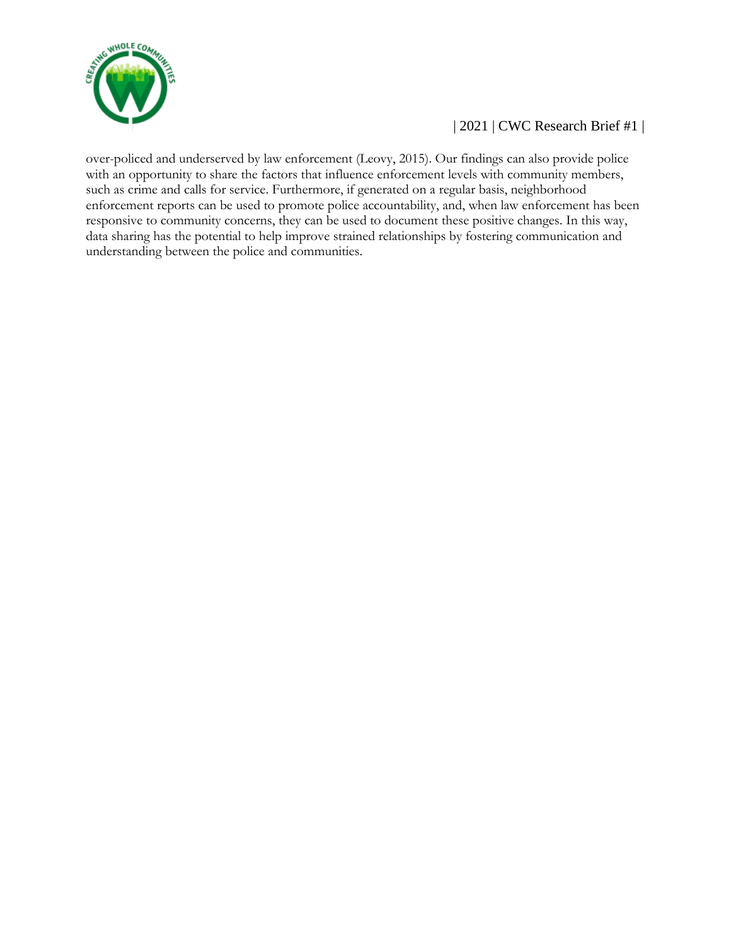

over-policed and underserved by law enforcement (Leovy, 2015). Our findings can also provide police with an opportunity to share the factors that influence enforcement levels with community members, such as crime and calls for service. Furthermore, if generated on a regular basis, neighborhood enforcement reports can be used to promote police accountability, and, when law enforcement has been responsive to community concerns, they can be used to document these positive changes. In this way, data sharing has the potential to help improve strained relationships by fostering communication and understanding between the police and communities.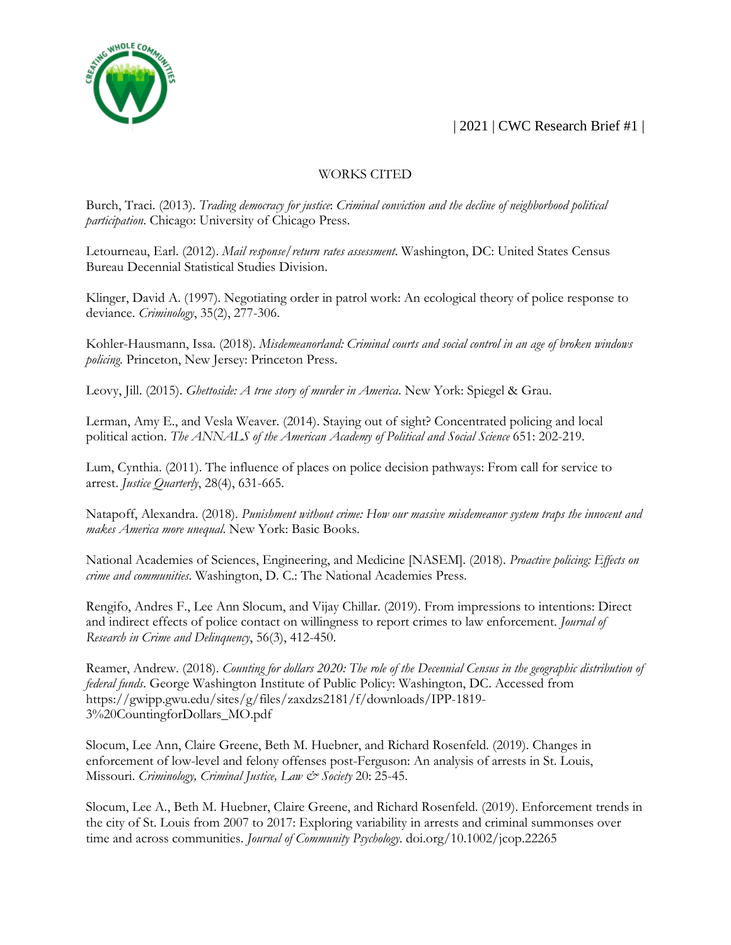

#### WORKS CITED

Burch, Traci. (2013). *Trading democracy for justice*: *Criminal conviction and the decline of neighborhood political participation*. Chicago: University of Chicago Press.

Letourneau, Earl. (2012). *Mail response/return rates assessment*. Washington, DC: United States Census Bureau Decennial Statistical Studies Division.

Klinger, David A. (1997). Negotiating order in patrol work: An ecological theory of police response to deviance. *Criminology*, 35(2), 277-306.

Kohler-Hausmann, Issa. (2018). *Misdemeanorland: Criminal courts and social control in an age of broken windows policing*. Princeton, New Jersey: Princeton Press.

Leovy, Jill. (2015). *Ghettoside: A true story of murder in America*. New York: Spiegel & Grau.

Lerman, Amy E., and Vesla Weaver. (2014). Staying out of sight? Concentrated policing and local political action. *The ANNALS of the American Academy of Political and Social Science* 651: 202-219.

Lum, Cynthia. (2011). The influence of places on police decision pathways: From call for service to arrest. *Justice Quarterly*, 28(4), 631-665.

Natapoff, Alexandra. (2018). *Punishment without crime: How our massive misdemeanor system traps the innocent and makes America more unequal*. New York: Basic Books.

National Academies of Sciences, Engineering, and Medicine [NASEM]. (2018). *Proactive policing: Effects on crime and communities*. Washington, D. C.: The National Academies Press.

Rengifo, Andres F., Lee Ann Slocum, and Vijay Chillar. (2019). From impressions to intentions: Direct and indirect effects of police contact on willingness to report crimes to law enforcement. *Journal of Research in Crime and Delinquency*, 56(3), 412-450.

Reamer, Andrew. (2018). *Counting for dollars 2020: The role of the Decennial Census in the geographic distribution of federal funds*. George Washington Institute of Public Policy: Washington, DC. Accessed from https://gwipp.gwu.edu/sites/g/files/zaxdzs2181/f/downloads/IPP-1819- 3%20CountingforDollars\_MO.pdf

Slocum, Lee Ann, Claire Greene, Beth M. Huebner, and Richard Rosenfeld. (2019). Changes in enforcement of low-level and felony offenses post-Ferguson: An analysis of arrests in St. Louis, Missouri. *Criminology, Criminal Justice, Law & Society* 20: 25-45.

Slocum, Lee A., Beth M. Huebner, Claire Greene, and Richard Rosenfeld. (2019). Enforcement trends in the city of St. Louis from 2007 to 2017: Exploring variability in arrests and criminal summonses over time and across communities. *Journal of Community Psychology*. doi.org/10.1002/jcop.22265